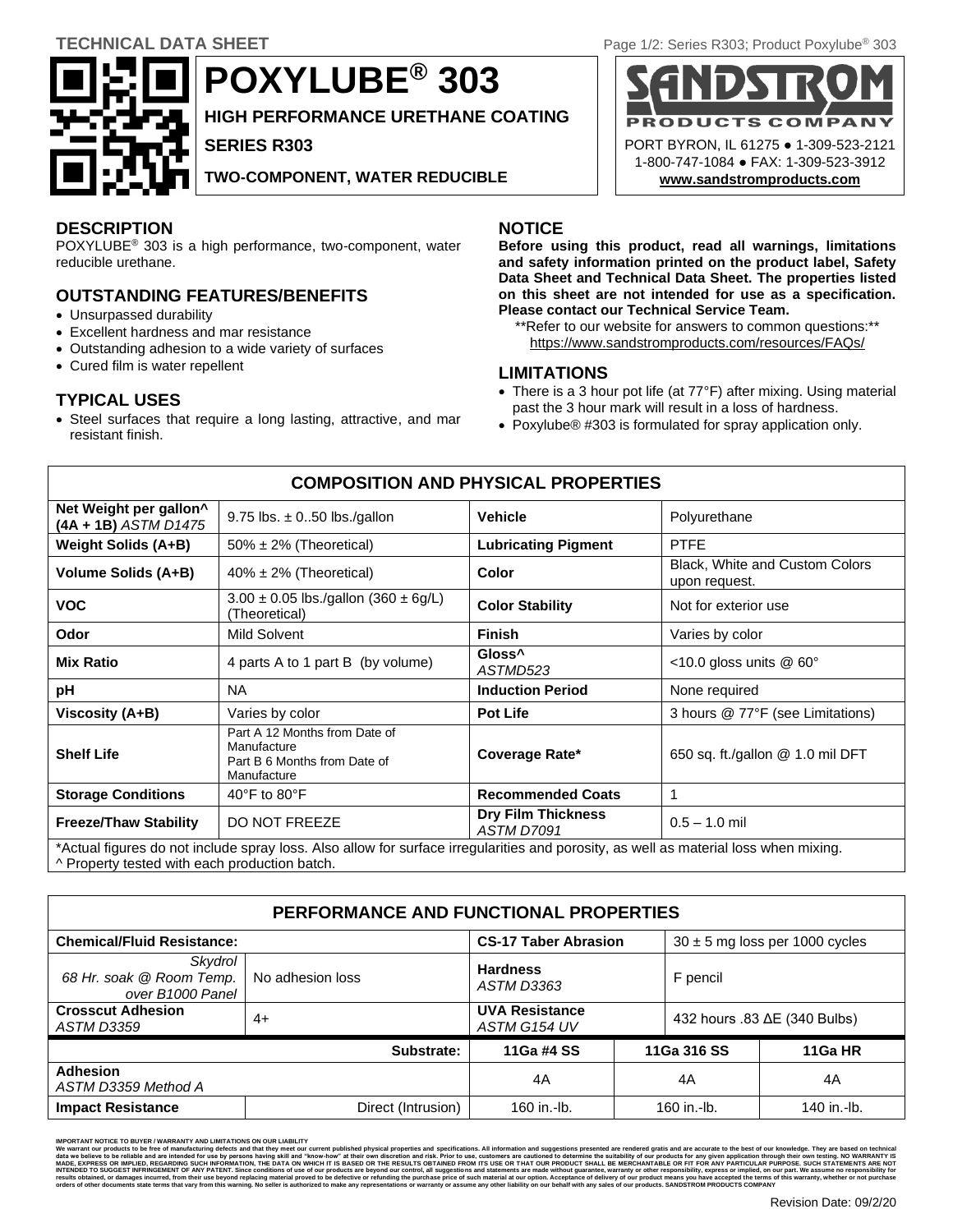

**POXYLUBE® 303**

**HIGH PERFORMANCE URETHANE COATING**

**SERIES R303**

**TWO-COMPONENT, WATER REDUCIBLE**

# **DESCRIPTION NOTICE**

POXYLUBE® 303 is a high performance, two-component, water reducible urethane.

# **OUTSTANDING FEATURES/BENEFITS**

- Unsurpassed durability
- Excellent hardness and mar resistance
- Outstanding adhesion to a wide variety of surfaces
- Cured film is water repellent

# **TYPICAL USES**

• Steel surfaces that require a long lasting, attractive, and mar resistant finish.

**Before using this product, read all warnings, limitations and safety information printed on the product label, Safety Data Sheet and Technical Data Sheet. The properties listed on this sheet are not intended for use as a specification. Please contact our Technical Service Team.**

\*\*Refer to our website for answers to common questions:\*\* <https://www.sandstromproducts.com/resources/FAQs/>

## **LIMITATIONS**

- There is a 3 hour pot life (at 77°F) after mixing. Using material past the 3 hour mark will result in a loss of hardness.
- Poxylube® #303 is formulated for spray application only.

| <b>COMPOSITION AND PHYSICAL PROPERTIES</b>                                                                                                                                            |                                                                                             |                                                |                                                 |  |  |
|---------------------------------------------------------------------------------------------------------------------------------------------------------------------------------------|---------------------------------------------------------------------------------------------|------------------------------------------------|-------------------------------------------------|--|--|
| Net Weight per gallon <sup>^</sup><br>(4A + 1B) ASTM D1475                                                                                                                            | 9.75 lbs. $\pm$ 050 lbs./gallon                                                             | <b>Vehicle</b>                                 | Polyurethane                                    |  |  |
| Weight Solids (A+B)                                                                                                                                                                   | $50\% \pm 2\%$ (Theoretical)                                                                | <b>Lubricating Pigment</b>                     | <b>PTFE</b>                                     |  |  |
| Volume Solids (A+B)                                                                                                                                                                   | $40\% \pm 2\%$ (Theoretical)                                                                | Color                                          | Black, White and Custom Colors<br>upon request. |  |  |
| <b>VOC</b>                                                                                                                                                                            | $3.00 \pm 0.05$ lbs./gallon (360 $\pm$ 6g/L)<br>(Theoretical)                               | <b>Color Stability</b>                         | Not for exterior use                            |  |  |
| Odor                                                                                                                                                                                  | Mild Solvent                                                                                | <b>Finish</b>                                  | Varies by color                                 |  |  |
| <b>Mix Ratio</b>                                                                                                                                                                      | 4 parts A to 1 part B (by volume)                                                           | Gloss <sup>^</sup><br>ASTMD523                 | <10.0 gloss units @ 60°                         |  |  |
| pH                                                                                                                                                                                    | <b>NA</b>                                                                                   | <b>Induction Period</b>                        | None required                                   |  |  |
| Viscosity (A+B)                                                                                                                                                                       | Varies by color                                                                             | <b>Pot Life</b>                                | 3 hours @ 77°F (see Limitations)                |  |  |
| <b>Shelf Life</b>                                                                                                                                                                     | Part A 12 Months from Date of<br>Manufacture<br>Part B 6 Months from Date of<br>Manufacture | Coverage Rate*                                 | 650 sq. ft./gallon @ 1.0 mil DFT                |  |  |
| <b>Storage Conditions</b>                                                                                                                                                             | 40 $\degree$ F to 80 $\degree$ F                                                            | <b>Recommended Coats</b>                       | 1                                               |  |  |
| <b>Freeze/Thaw Stability</b>                                                                                                                                                          | <b>DO NOT FREEZE</b>                                                                        | <b>Dry Film Thickness</b><br><b>ASTM D7091</b> | $0.5 - 1.0$ mil                                 |  |  |
| *Actual figures do not include spray loss. Also allow for surface irregularities and porosity, as well as material loss when mixing.<br>A Property tested with each production batch. |                                                                                             |                                                |                                                 |  |  |

#### **PERFORMANCE AND FUNCTIONAL PROPERTIES Chemical/Fluid Resistance: CS-17 Taber Abrasion** 30 ± 5 mg loss per 1000 cycles *Skydrol 68 Hr. soak @ Room Temp. over B1000 Panel* No adhesion loss **Hardness** *ASTM D3363* F pencil **Crosscut Adhesion** *ASTM D3359* 4+ **UVA Resistance UVA Resistance**<br>*ASTM G154 UV* 432 hours .83 ΔE (340 Bulbs) **Substrate: 11Ga #4 SS 11Ga 316 SS 11Ga HR Adhesion** *ASTM D3359 Method A* 4A 4A 4A **Impact Resistance** The Direct (Intrusion) 160 in.-lb. 160 in.-lb. 160 in.-lb. 140 in.-lb.

**TECHNICAL DATA SHEET** Page 1/2: Series R303; Product Poxylube<sup>®</sup> 303



MPORTANT NOTICE TO BUYER /WARRANTY AND LIMITATIONS ON OUR LIABILITY<br>We warrant our products to be free of manufacturing defects and their definitions met humistom our experime but<br>Make a busine to be reliable and are inten results obtained, or damages incurred, from their use beyond replacing material proved to be defective or refunding the purchase price of such material at our phile band by the band to purchase that any representations or